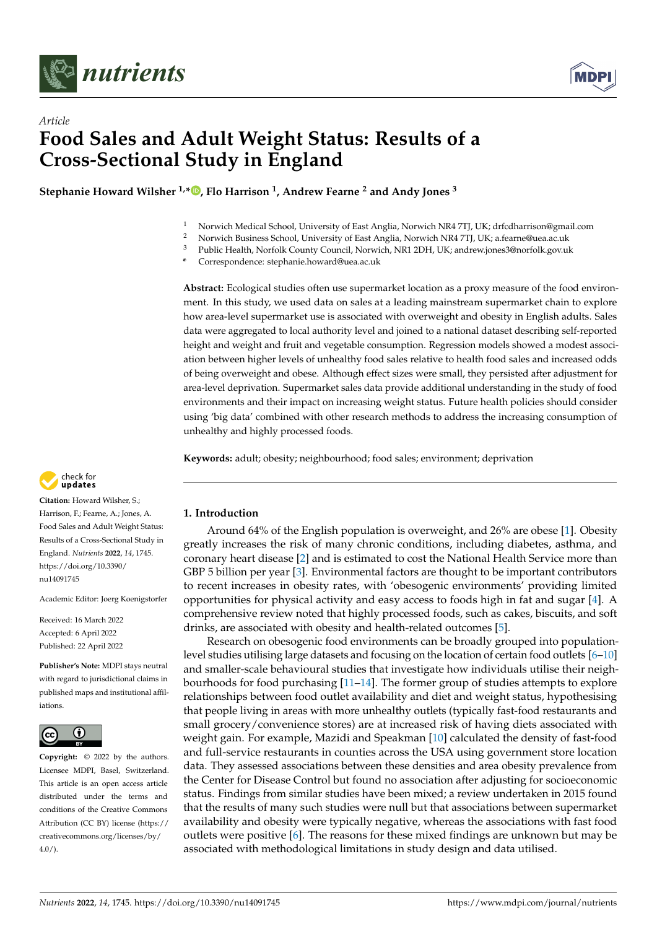



# *Article* **Food Sales and Adult Weight Status: Results of a Cross-Sectional Study in England**

**Stephanie Howard Wilsher 1,\* [,](https://orcid.org/0000-0002-3060-3270) Flo Harrison <sup>1</sup> , Andrew Fearne <sup>2</sup> and Andy Jones <sup>3</sup>**

- 1 Norwich Medical School, University of East Anglia, Norwich NR4 7TJ, UK; drfcdharrison@gmail.com<br>2 Norwich Business School, University of East Anglia, Norwich NP4 7TJ, UK; a forma@ues as uk
- <sup>2</sup> Norwich Business School, University of East Anglia, Norwich NR4 7TJ, UK; a.fearne@uea.ac.uk<br><sup>3</sup> Public Hoalth Norfolk County Council Norwich NP1 2DH LIK: androwinnee?@porfolk.cov.ul
- <sup>3</sup> Public Health, Norfolk County Council, Norwich, NR1 2DH, UK; andrew.jones3@norfolk.gov.uk
- **\*** Correspondence: stephanie.howard@uea.ac.uk

**Abstract:** Ecological studies often use supermarket location as a proxy measure of the food environment. In this study, we used data on sales at a leading mainstream supermarket chain to explore how area-level supermarket use is associated with overweight and obesity in English adults. Sales data were aggregated to local authority level and joined to a national dataset describing self-reported height and weight and fruit and vegetable consumption. Regression models showed a modest association between higher levels of unhealthy food sales relative to health food sales and increased odds of being overweight and obese. Although effect sizes were small, they persisted after adjustment for area-level deprivation. Supermarket sales data provide additional understanding in the study of food environments and their impact on increasing weight status. Future health policies should consider using 'big data' combined with other research methods to address the increasing consumption of unhealthy and highly processed foods.

**Keywords:** adult; obesity; neighbourhood; food sales; environment; deprivation



**Citation:** Howard Wilsher, S.; Harrison, F.; Fearne, A.; Jones, A. Food Sales and Adult Weight Status: Results of a Cross-Sectional Study in England. *Nutrients* **2022**, *14*, 1745. [https://doi.org/10.3390/](https://doi.org/10.3390/nu14091745) [nu14091745](https://doi.org/10.3390/nu14091745)

Academic Editor: Joerg Koenigstorfer

Received: 16 March 2022 Accepted: 6 April 2022 Published: 22 April 2022

**Publisher's Note:** MDPI stays neutral with regard to jurisdictional claims in published maps and institutional affiliations.



**Copyright:** © 2022 by the authors. Licensee MDPI, Basel, Switzerland. This article is an open access article distributed under the terms and conditions of the Creative Commons Attribution (CC BY) license [\(https://](https://creativecommons.org/licenses/by/4.0/) [creativecommons.org/licenses/by/](https://creativecommons.org/licenses/by/4.0/)  $4.0/$ ).

# **1. Introduction**

Around 64% of the English population is overweight, and 26% are obese [\[1\]](#page-11-0). Obesity greatly increases the risk of many chronic conditions, including diabetes, asthma, and coronary heart disease [\[2\]](#page-11-1) and is estimated to cost the National Health Service more than GBP 5 billion per year [\[3\]](#page-11-2). Environmental factors are thought to be important contributors to recent increases in obesity rates, with 'obesogenic environments' providing limited opportunities for physical activity and easy access to foods high in fat and sugar [\[4\]](#page-11-3). A comprehensive review noted that highly processed foods, such as cakes, biscuits, and soft drinks, are associated with obesity and health-related outcomes [\[5\]](#page-11-4).

Research on obesogenic food environments can be broadly grouped into populationlevel studies utilising large datasets and focusing on the location of certain food outlets [\[6–](#page-11-5)[10\]](#page-11-6) and smaller-scale behavioural studies that investigate how individuals utilise their neighbourhoods for food purchasing [\[11](#page-11-7)[–14\]](#page-11-8). The former group of studies attempts to explore relationships between food outlet availability and diet and weight status, hypothesising that people living in areas with more unhealthy outlets (typically fast-food restaurants and small grocery/convenience stores) are at increased risk of having diets associated with weight gain. For example, Mazidi and Speakman [\[10\]](#page-11-6) calculated the density of fast-food and full-service restaurants in counties across the USA using government store location data. They assessed associations between these densities and area obesity prevalence from the Center for Disease Control but found no association after adjusting for socioeconomic status. Findings from similar studies have been mixed; a review undertaken in 2015 found that the results of many such studies were null but that associations between supermarket availability and obesity were typically negative, whereas the associations with fast food outlets were positive [\[6\]](#page-11-5). The reasons for these mixed findings are unknown but may be associated with methodological limitations in study design and data utilised.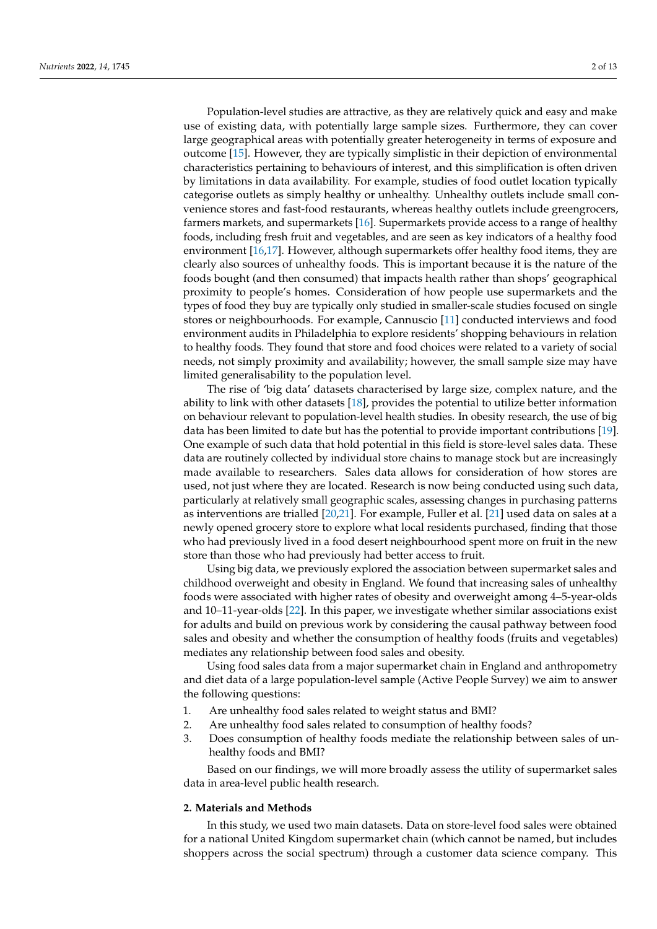Population-level studies are attractive, as they are relatively quick and easy and make use of existing data, with potentially large sample sizes. Furthermore, they can cover large geographical areas with potentially greater heterogeneity in terms of exposure and outcome [\[15\]](#page-11-9). However, they are typically simplistic in their depiction of environmental characteristics pertaining to behaviours of interest, and this simplification is often driven by limitations in data availability. For example, studies of food outlet location typically categorise outlets as simply healthy or unhealthy. Unhealthy outlets include small convenience stores and fast-food restaurants, whereas healthy outlets include greengrocers, farmers markets, and supermarkets [\[16\]](#page-11-10). Supermarkets provide access to a range of healthy foods, including fresh fruit and vegetables, and are seen as key indicators of a healthy food environment [\[16](#page-11-10)[,17\]](#page-11-11). However, although supermarkets offer healthy food items, they are clearly also sources of unhealthy foods. This is important because it is the nature of the foods bought (and then consumed) that impacts health rather than shops' geographical proximity to people's homes. Consideration of how people use supermarkets and the types of food they buy are typically only studied in smaller-scale studies focused on single stores or neighbourhoods. For example, Cannuscio [\[11\]](#page-11-7) conducted interviews and food environment audits in Philadelphia to explore residents' shopping behaviours in relation to healthy foods. They found that store and food choices were related to a variety of social needs, not simply proximity and availability; however, the small sample size may have limited generalisability to the population level.

The rise of 'big data' datasets characterised by large size, complex nature, and the ability to link with other datasets [\[18\]](#page-11-12), provides the potential to utilize better information on behaviour relevant to population-level health studies. In obesity research, the use of big data has been limited to date but has the potential to provide important contributions [\[19\]](#page-11-13). One example of such data that hold potential in this field is store-level sales data. These data are routinely collected by individual store chains to manage stock but are increasingly made available to researchers. Sales data allows for consideration of how stores are used, not just where they are located. Research is now being conducted using such data, particularly at relatively small geographic scales, assessing changes in purchasing patterns as interventions are trialled [\[20](#page-11-14)[,21\]](#page-11-15). For example, Fuller et al. [\[21\]](#page-11-15) used data on sales at a newly opened grocery store to explore what local residents purchased, finding that those who had previously lived in a food desert neighbourhood spent more on fruit in the new store than those who had previously had better access to fruit.

Using big data, we previously explored the association between supermarket sales and childhood overweight and obesity in England. We found that increasing sales of unhealthy foods were associated with higher rates of obesity and overweight among 4–5-year-olds and 10–11-year-olds [\[22\]](#page-11-16). In this paper, we investigate whether similar associations exist for adults and build on previous work by considering the causal pathway between food sales and obesity and whether the consumption of healthy foods (fruits and vegetables) mediates any relationship between food sales and obesity.

Using food sales data from a major supermarket chain in England and anthropometry and diet data of a large population-level sample (Active People Survey) we aim to answer the following questions:

- 1. Are unhealthy food sales related to weight status and BMI?
- 2. Are unhealthy food sales related to consumption of healthy foods?
- 3. Does consumption of healthy foods mediate the relationship between sales of unhealthy foods and BMI?

Based on our findings, we will more broadly assess the utility of supermarket sales data in area-level public health research.

#### **2. Materials and Methods**

In this study, we used two main datasets. Data on store-level food sales were obtained for a national United Kingdom supermarket chain (which cannot be named, but includes shoppers across the social spectrum) through a customer data science company. This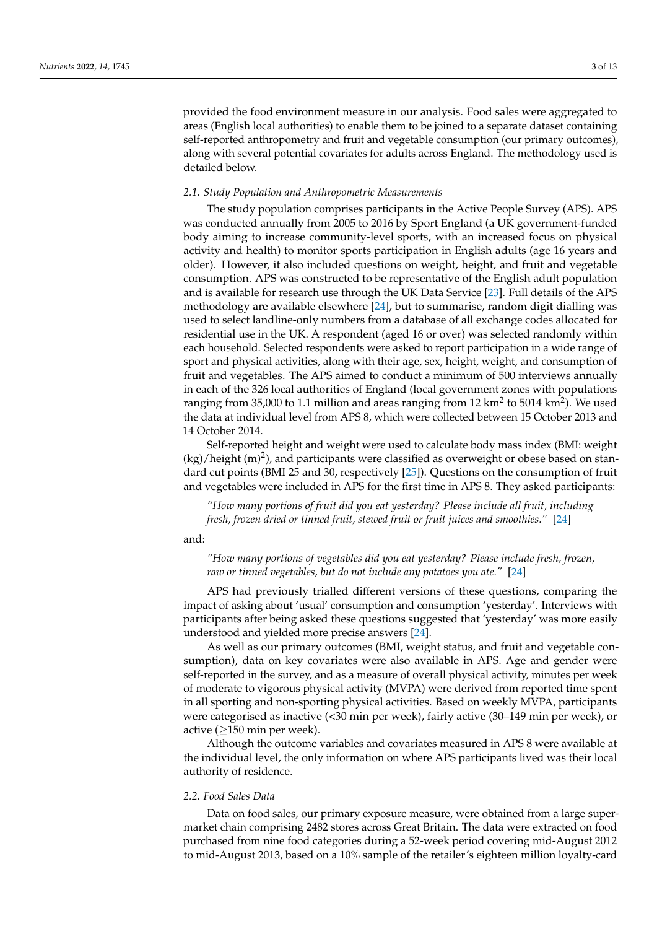provided the food environment measure in our analysis. Food sales were aggregated to areas (English local authorities) to enable them to be joined to a separate dataset containing self-reported anthropometry and fruit and vegetable consumption (our primary outcomes), along with several potential covariates for adults across England. The methodology used is detailed below.

#### *2.1. Study Population and Anthropometric Measurements*

The study population comprises participants in the Active People Survey (APS). APS was conducted annually from 2005 to 2016 by Sport England (a UK government-funded body aiming to increase community-level sports, with an increased focus on physical activity and health) to monitor sports participation in English adults (age 16 years and older). However, it also included questions on weight, height, and fruit and vegetable consumption. APS was constructed to be representative of the English adult population and is available for research use through the UK Data Service [\[23\]](#page-11-17). Full details of the APS methodology are available elsewhere [\[24\]](#page-11-18), but to summarise, random digit dialling was used to select landline-only numbers from a database of all exchange codes allocated for residential use in the UK. A respondent (aged 16 or over) was selected randomly within each household. Selected respondents were asked to report participation in a wide range of sport and physical activities, along with their age, sex, height, weight, and consumption of fruit and vegetables. The APS aimed to conduct a minimum of 500 interviews annually in each of the 326 local authorities of England (local government zones with populations ranging from 35,000 to 1.1 million and areas ranging from 12 km $^2$  to 5014 km $^2$ ). We used the data at individual level from APS 8, which were collected between 15 October 2013 and 14 October 2014.

Self-reported height and weight were used to calculate body mass index (BMI: weight  $(kg)/$ height  $(m)^2$ ), and participants were classified as overweight or obese based on standard cut points (BMI 25 and 30, respectively [\[25\]](#page-11-19)). Questions on the consumption of fruit and vegetables were included in APS for the first time in APS 8. They asked participants:

*"How many portions of fruit did you eat yesterday? Please include all fruit, including fresh, frozen dried or tinned fruit, stewed fruit or fruit juices and smoothies."* [\[24\]](#page-11-18)

and:

*"How many portions of vegetables did you eat yesterday? Please include fresh, frozen, raw or tinned vegetables, but do not include any potatoes you ate."* [\[24\]](#page-11-18)

APS had previously trialled different versions of these questions, comparing the impact of asking about 'usual' consumption and consumption 'yesterday'. Interviews with participants after being asked these questions suggested that 'yesterday' was more easily understood and yielded more precise answers [\[24\]](#page-11-18).

As well as our primary outcomes (BMI, weight status, and fruit and vegetable consumption), data on key covariates were also available in APS. Age and gender were self-reported in the survey, and as a measure of overall physical activity, minutes per week of moderate to vigorous physical activity (MVPA) were derived from reported time spent in all sporting and non-sporting physical activities. Based on weekly MVPA, participants were categorised as inactive (<30 min per week), fairly active (30–149 min per week), or active ( $\geq$ 150 min per week).

Although the outcome variables and covariates measured in APS 8 were available at the individual level, the only information on where APS participants lived was their local authority of residence.

#### *2.2. Food Sales Data*

Data on food sales, our primary exposure measure, were obtained from a large supermarket chain comprising 2482 stores across Great Britain. The data were extracted on food purchased from nine food categories during a 52-week period covering mid-August 2012 to mid-August 2013, based on a 10% sample of the retailer's eighteen million loyalty-card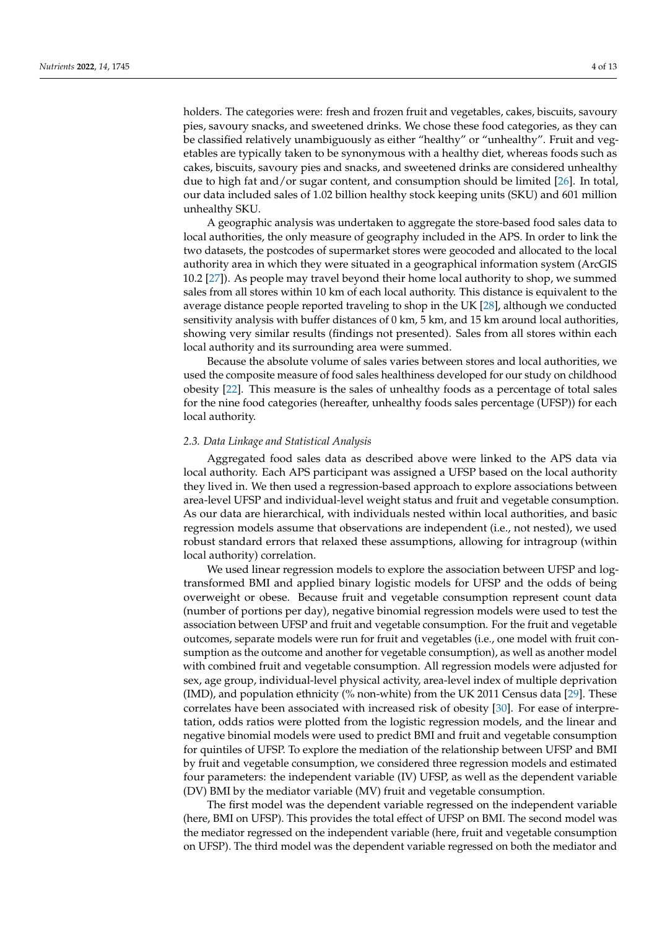holders. The categories were: fresh and frozen fruit and vegetables, cakes, biscuits, savoury pies, savoury snacks, and sweetened drinks. We chose these food categories, as they can be classified relatively unambiguously as either "healthy" or "unhealthy". Fruit and vegetables are typically taken to be synonymous with a healthy diet, whereas foods such as cakes, biscuits, savoury pies and snacks, and sweetened drinks are considered unhealthy due to high fat and/or sugar content, and consumption should be limited [\[26\]](#page-11-20). In total, our data included sales of 1.02 billion healthy stock keeping units (SKU) and 601 million unhealthy SKU.

A geographic analysis was undertaken to aggregate the store-based food sales data to local authorities, the only measure of geography included in the APS. In order to link the two datasets, the postcodes of supermarket stores were geocoded and allocated to the local authority area in which they were situated in a geographical information system (ArcGIS 10.2 [\[27\]](#page-12-0)). As people may travel beyond their home local authority to shop, we summed sales from all stores within 10 km of each local authority. This distance is equivalent to the average distance people reported traveling to shop in the UK [\[28\]](#page-12-1), although we conducted sensitivity analysis with buffer distances of 0 km, 5 km, and 15 km around local authorities, showing very similar results (findings not presented). Sales from all stores within each local authority and its surrounding area were summed.

Because the absolute volume of sales varies between stores and local authorities, we used the composite measure of food sales healthiness developed for our study on childhood obesity [\[22\]](#page-11-16). This measure is the sales of unhealthy foods as a percentage of total sales for the nine food categories (hereafter, unhealthy foods sales percentage (UFSP)) for each local authority.

#### *2.3. Data Linkage and Statistical Analysis*

Aggregated food sales data as described above were linked to the APS data via local authority. Each APS participant was assigned a UFSP based on the local authority they lived in. We then used a regression-based approach to explore associations between area-level UFSP and individual-level weight status and fruit and vegetable consumption. As our data are hierarchical, with individuals nested within local authorities, and basic regression models assume that observations are independent (i.e., not nested), we used robust standard errors that relaxed these assumptions, allowing for intragroup (within local authority) correlation.

We used linear regression models to explore the association between UFSP and logtransformed BMI and applied binary logistic models for UFSP and the odds of being overweight or obese. Because fruit and vegetable consumption represent count data (number of portions per day), negative binomial regression models were used to test the association between UFSP and fruit and vegetable consumption. For the fruit and vegetable outcomes, separate models were run for fruit and vegetables (i.e., one model with fruit consumption as the outcome and another for vegetable consumption), as well as another model with combined fruit and vegetable consumption. All regression models were adjusted for sex, age group, individual-level physical activity, area-level index of multiple deprivation (IMD), and population ethnicity (% non-white) from the UK 2011 Census data [\[29\]](#page-12-2). These correlates have been associated with increased risk of obesity [\[30\]](#page-12-3). For ease of interpretation, odds ratios were plotted from the logistic regression models, and the linear and negative binomial models were used to predict BMI and fruit and vegetable consumption for quintiles of UFSP. To explore the mediation of the relationship between UFSP and BMI by fruit and vegetable consumption, we considered three regression models and estimated four parameters: the independent variable (IV) UFSP, as well as the dependent variable (DV) BMI by the mediator variable (MV) fruit and vegetable consumption.

The first model was the dependent variable regressed on the independent variable (here, BMI on UFSP). This provides the total effect of UFSP on BMI. The second model was the mediator regressed on the independent variable (here, fruit and vegetable consumption on UFSP). The third model was the dependent variable regressed on both the mediator and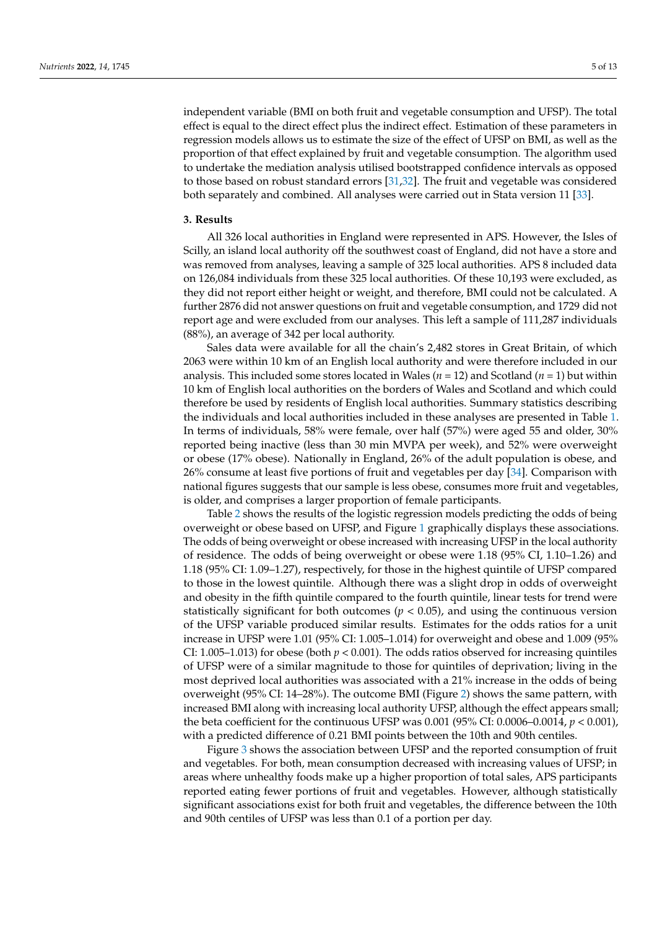independent variable (BMI on both fruit and vegetable consumption and UFSP). The total effect is equal to the direct effect plus the indirect effect. Estimation of these parameters in regression models allows us to estimate the size of the effect of UFSP on BMI, as well as the proportion of that effect explained by fruit and vegetable consumption. The algorithm used to undertake the mediation analysis utilised bootstrapped confidence intervals as opposed to those based on robust standard errors [\[31,](#page-12-4)[32\]](#page-12-5). The fruit and vegetable was considered both separately and combined. All analyses were carried out in Stata version 11 [\[33\]](#page-12-6).

#### **3. Results**

All 326 local authorities in England were represented in APS. However, the Isles of Scilly, an island local authority off the southwest coast of England, did not have a store and was removed from analyses, leaving a sample of 325 local authorities. APS 8 included data on 126,084 individuals from these 325 local authorities. Of these 10,193 were excluded, as they did not report either height or weight, and therefore, BMI could not be calculated. A further 2876 did not answer questions on fruit and vegetable consumption, and 1729 did not report age and were excluded from our analyses. This left a sample of 111,287 individuals (88%), an average of 342 per local authority.

Sales data were available for all the chain's 2,482 stores in Great Britain, of which 2063 were within 10 km of an English local authority and were therefore included in our analysis. This included some stores located in Wales (*n* = 12) and Scotland (*n* = 1) but within 10 km of English local authorities on the borders of Wales and Scotland and which could therefore be used by residents of English local authorities. Summary statistics describing the individuals and local authorities included in these analyses are presented in Table [1.](#page-5-0) In terms of individuals, 58% were female, over half (57%) were aged 55 and older, 30% reported being inactive (less than 30 min MVPA per week), and 52% were overweight or obese (17% obese). Nationally in England, 26% of the adult population is obese, and 26% consume at least five portions of fruit and vegetables per day [\[34\]](#page-12-7). Comparison with national figures suggests that our sample is less obese, consumes more fruit and vegetables, is older, and comprises a larger proportion of female participants.

Table [2](#page-6-0) shows the results of the logistic regression models predicting the odds of being overweight or obese based on UFSP, and Figure [1](#page-6-1) graphically displays these associations. The odds of being overweight or obese increased with increasing UFSP in the local authority of residence. The odds of being overweight or obese were 1.18 (95% CI, 1.10–1.26) and 1.18 (95% CI: 1.09–1.27), respectively, for those in the highest quintile of UFSP compared to those in the lowest quintile. Although there was a slight drop in odds of overweight and obesity in the fifth quintile compared to the fourth quintile, linear tests for trend were statistically significant for both outcomes  $(p < 0.05)$ , and using the continuous version of the UFSP variable produced similar results. Estimates for the odds ratios for a unit increase in UFSP were 1.01 (95% CI: 1.005–1.014) for overweight and obese and 1.009 (95% CI: 1.005–1.013) for obese (both  $p < 0.001$ ). The odds ratios observed for increasing quintiles of UFSP were of a similar magnitude to those for quintiles of deprivation; living in the most deprived local authorities was associated with a 21% increase in the odds of being overweight (95% CI: 14–28%). The outcome BMI (Figure [2\)](#page-7-0) shows the same pattern, with increased BMI along with increasing local authority UFSP, although the effect appears small; the beta coefficient for the continuous UFSP was 0.001 (95% CI: 0.0006–0.0014, *p* < 0.001), with a predicted difference of 0.21 BMI points between the 10th and 90th centiles.

Figure [3](#page-7-1) shows the association between UFSP and the reported consumption of fruit and vegetables. For both, mean consumption decreased with increasing values of UFSP; in areas where unhealthy foods make up a higher proportion of total sales, APS participants reported eating fewer portions of fruit and vegetables. However, although statistically significant associations exist for both fruit and vegetables, the difference between the 10th and 90th centiles of UFSP was less than 0.1 of a portion per day.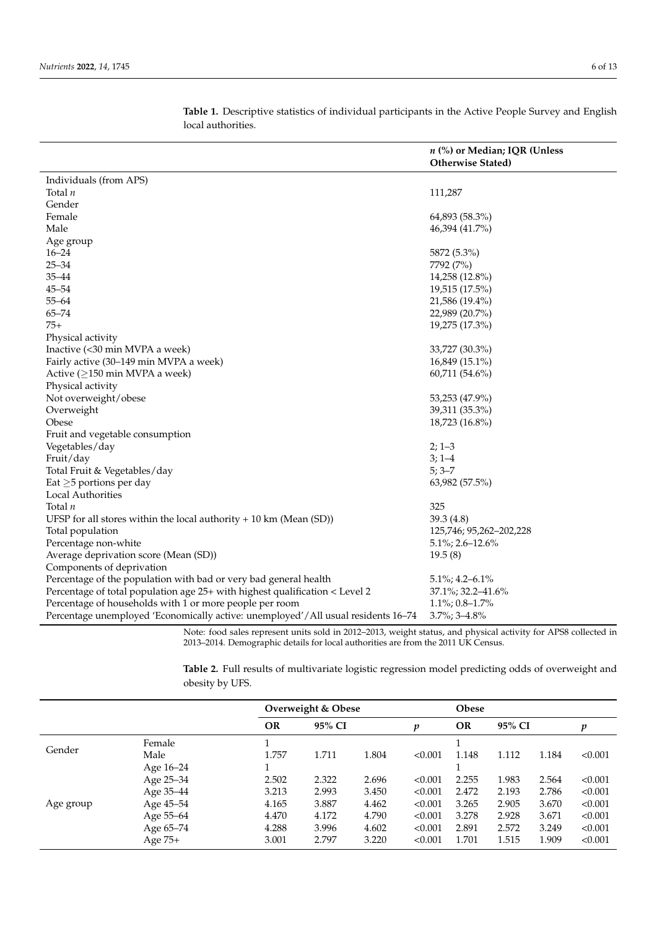|                                                                                   | n (%) or Median; IQR (Unless<br><b>Otherwise Stated)</b> |  |  |  |  |  |
|-----------------------------------------------------------------------------------|----------------------------------------------------------|--|--|--|--|--|
| Individuals (from APS)                                                            |                                                          |  |  |  |  |  |
| Total $n$                                                                         | 111,287                                                  |  |  |  |  |  |
| Gender                                                                            |                                                          |  |  |  |  |  |
| Female                                                                            | 64,893 (58.3%)                                           |  |  |  |  |  |
| Male                                                                              | 46,394 (41.7%)                                           |  |  |  |  |  |
| Age group                                                                         |                                                          |  |  |  |  |  |
| $16 - 24$                                                                         | 5872 (5.3%)                                              |  |  |  |  |  |
| $25 - 34$                                                                         | 7792 (7%)                                                |  |  |  |  |  |
| $35 - 44$                                                                         | 14,258 (12.8%)                                           |  |  |  |  |  |
| $45 - 54$                                                                         | 19,515 (17.5%)                                           |  |  |  |  |  |
| $55 - 64$                                                                         | 21,586 (19.4%)                                           |  |  |  |  |  |
| $65 - 74$                                                                         | 22,989 (20.7%)                                           |  |  |  |  |  |
| $75+$                                                                             | 19,275 (17.3%)                                           |  |  |  |  |  |
| Physical activity                                                                 |                                                          |  |  |  |  |  |
| Inactive (<30 min MVPA a week)                                                    | 33,727 (30.3%)                                           |  |  |  |  |  |
| Fairly active (30-149 min MVPA a week)                                            | $16,849(15.1\%)$                                         |  |  |  |  |  |
| Active ( $\geq$ 150 min MVPA a week)                                              | 60,711 (54.6%)                                           |  |  |  |  |  |
| Physical activity                                                                 |                                                          |  |  |  |  |  |
| Not overweight/obese                                                              | 53,253 (47.9%)                                           |  |  |  |  |  |
| Overweight                                                                        | 39,311 (35.3%)                                           |  |  |  |  |  |
| Obese                                                                             | 18,723 (16.8%)                                           |  |  |  |  |  |
| Fruit and vegetable consumption                                                   |                                                          |  |  |  |  |  |
| Vegetables/day                                                                    | $2; 1-3$                                                 |  |  |  |  |  |
| Fruit/day                                                                         | $3; 1-4$                                                 |  |  |  |  |  |
| Total Fruit & Vegetables/day                                                      | $5; 3 - 7$                                               |  |  |  |  |  |
| Eat $\geq$ 5 portions per day                                                     | 63,982 (57.5%)                                           |  |  |  |  |  |
| Local Authorities                                                                 |                                                          |  |  |  |  |  |
| Total $n$                                                                         | 325                                                      |  |  |  |  |  |
| UFSP for all stores within the local authority $+ 10 \text{ km}$ (Mean (SD))      | 39.3 (4.8)                                               |  |  |  |  |  |
| Total population                                                                  | 125,746; 95,262-202,228                                  |  |  |  |  |  |
| Percentage non-white                                                              | $5.1\%$ ; 2.6–12.6%                                      |  |  |  |  |  |
| Average deprivation score (Mean (SD))                                             | 19.5(8)                                                  |  |  |  |  |  |
| Components of deprivation                                                         |                                                          |  |  |  |  |  |
| Percentage of the population with bad or very bad general health                  | $5.1\%$ ; 4.2-6.1%                                       |  |  |  |  |  |
| Percentage of total population age 25+ with highest qualification < Level 2       | 37.1%; 32.2–41.6%                                        |  |  |  |  |  |
| Percentage of households with 1 or more people per room                           | $1.1\%$ ; 0.8-1.7%                                       |  |  |  |  |  |
| Percentage unemployed 'Economically active: unemployed'/All usual residents 16-74 | 3.7%; 3-4.8%                                             |  |  |  |  |  |

<span id="page-5-0"></span>**Table 1.** Descriptive statistics of individual participants in the Active People Survey and English local authorities.

Note: food sales represent units sold in 2012–2013, weight status, and physical activity for APS8 collected in 2013–2014. Demographic details for local authorities are from the 2011 UK Census.

**Table 2.** Full results of multivariate logistic regression model predicting odds of overweight and obesity by UFS.

|           |           | Overweight & Obese |        |       |         | <b>Obese</b> |       |        |         |
|-----------|-----------|--------------------|--------|-------|---------|--------------|-------|--------|---------|
|           |           | <b>OR</b>          | 95% CI |       | p       | OR           |       | 95% CI |         |
| Gender    | Female    |                    |        |       |         |              |       |        |         |
|           | Male      | 1.757              | 1.711  | 1.804 | < 0.001 | 1.148        | 1.112 | 1.184  | < 0.001 |
| Age group | Age 16–24 |                    |        |       |         |              |       |        |         |
|           | Age 25-34 | 2.502              | 2.322  | 2.696 | < 0.001 | 2.255        | 1.983 | 2.564  | < 0.001 |
|           | Age 35-44 | 3.213              | 2.993  | 3.450 | < 0.001 | 2.472        | 2.193 | 2.786  | < 0.001 |
|           | Age 45-54 | 4.165              | 3.887  | 4.462 | < 0.001 | 3.265        | 2.905 | 3.670  | < 0.001 |
|           | Age 55–64 | 4.470              | 4.172  | 4.790 | < 0.001 | 3.278        | 2.928 | 3.671  | < 0.001 |
|           | Age 65-74 | 4.288              | 3.996  | 4.602 | < 0.001 | 2.891        | 2.572 | 3.249  | < 0.001 |
|           | Age 75+   | 3.001              | 2.797  | 3.220 | < 0.001 | 1.701        | 1.515 | 1.909  | < 0.001 |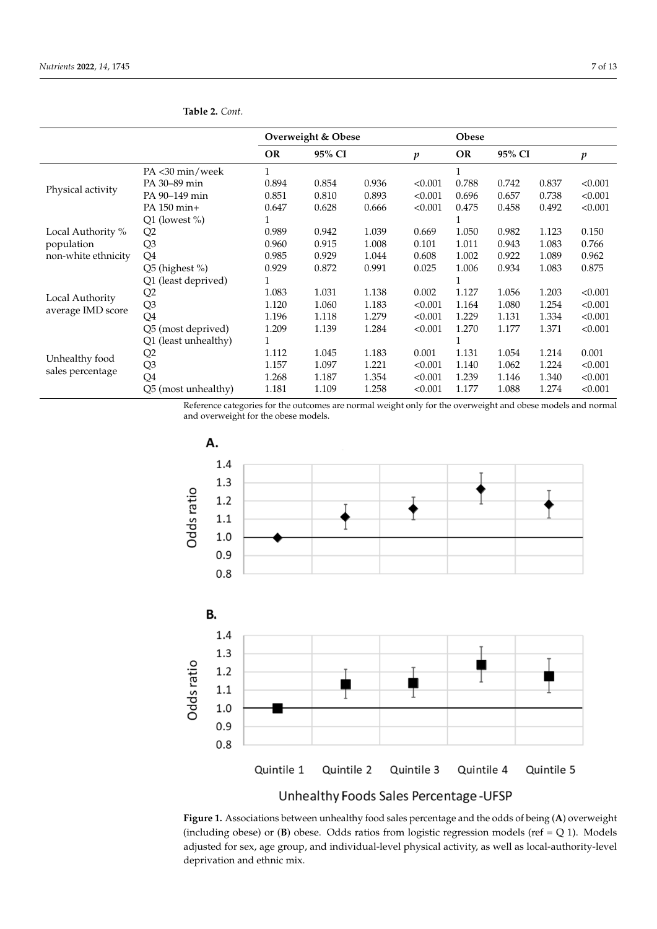|                                    |                      | Overweight & Obese |        |       |         | Obese     |        |       |                  |
|------------------------------------|----------------------|--------------------|--------|-------|---------|-----------|--------|-------|------------------|
|                                    |                      | OR                 | 95% CI |       | p       | <b>OR</b> | 95% CI |       | $\boldsymbol{p}$ |
|                                    | PA <30 min/week      |                    |        |       |         |           |        |       |                  |
|                                    | PA 30-89 min         | 0.894              | 0.854  | 0.936 | < 0.001 | 0.788     | 0.742  | 0.837 | < 0.001          |
| Physical activity                  | PA 90-149 min        | 0.851              | 0.810  | 0.893 | < 0.001 | 0.696     | 0.657  | 0.738 | < 0.001          |
|                                    | PA 150 min+          | 0.647              | 0.628  | 0.666 | < 0.001 | 0.475     | 0.458  | 0.492 | < 0.001          |
|                                    | $Q1$ (lowest %)      |                    |        |       |         |           |        |       |                  |
| Local Authority %                  | Q2                   | 0.989              | 0.942  | 1.039 | 0.669   | 1.050     | 0.982  | 1.123 | 0.150            |
| population                         | Q <sub>3</sub>       | 0.960              | 0.915  | 1.008 | 0.101   | 1.011     | 0.943  | 1.083 | 0.766            |
| non-white ethnicity                | Q <sub>4</sub>       | 0.985              | 0.929  | 1.044 | 0.608   | 1.002     | 0.922  | 1.089 | 0.962            |
|                                    | Q5 (highest %)       | 0.929              | 0.872  | 0.991 | 0.025   | 1.006     | 0.934  | 1.083 | 0.875            |
|                                    | Q1 (least deprived)  |                    |        |       |         |           |        |       |                  |
|                                    | Q2                   | 1.083              | 1.031  | 1.138 | 0.002   | 1.127     | 1.056  | 1.203 | < 0.001          |
| Local Authority                    | Q <sub>3</sub>       | 1.120              | 1.060  | 1.183 | < 0.001 | 1.164     | 1.080  | 1.254 | < 0.001          |
| average IMD score                  | Q4                   | 1.196              | 1.118  | 1.279 | < 0.001 | 1.229     | 1.131  | 1.334 | < 0.001          |
|                                    | Q5 (most deprived)   | 1.209              | 1.139  | 1.284 | < 0.001 | 1.270     | 1.177  | 1.371 | < 0.001          |
| Unhealthy food<br>sales percentage | Q1 (least unhealthy) |                    |        |       |         |           |        |       |                  |
|                                    | Q2                   | 1.112              | 1.045  | 1.183 | 0.001   | 1.131     | 1.054  | 1.214 | 0.001            |
|                                    | Q <sub>3</sub>       | 1.157              | 1.097  | 1.221 | < 0.001 | 1.140     | 1.062  | 1.224 | < 0.001          |
|                                    | Q4                   | 1.268              | 1.187  | 1.354 | < 0.001 | 1.239     | 1.146  | 1.340 | < 0.001          |
|                                    | Q5 (most unhealthy)  | 1.181              | 1.109  | 1.258 | < 0.001 | 1.177     | 1.088  | 1.274 | < 0.001          |
|                                    |                      |                    |        |       |         |           |        |       |                  |

<span id="page-6-0"></span>**Table 2.** *Cont.*

Reference categories for the outcomes are normal weight only for the overweight and obese models and normal and overweight for the obese models.

<span id="page-6-1"></span>

Unhealthy Foods Sales Percentage-UFSP

**Figure 1.** Associations between unhealthy food sales percentage and the odds of being (**A**) overweight (including obese) or  $(\mathbf{B})$  obese. Odds ratios from logistic regression models (ref = Q 1). Models adjusted for sex, age group, and individual-level physical activity, as well as local-authority-level<br>distribution of the control of the control of the control of the control of the control of the control of the c deprivation and ethnic mix.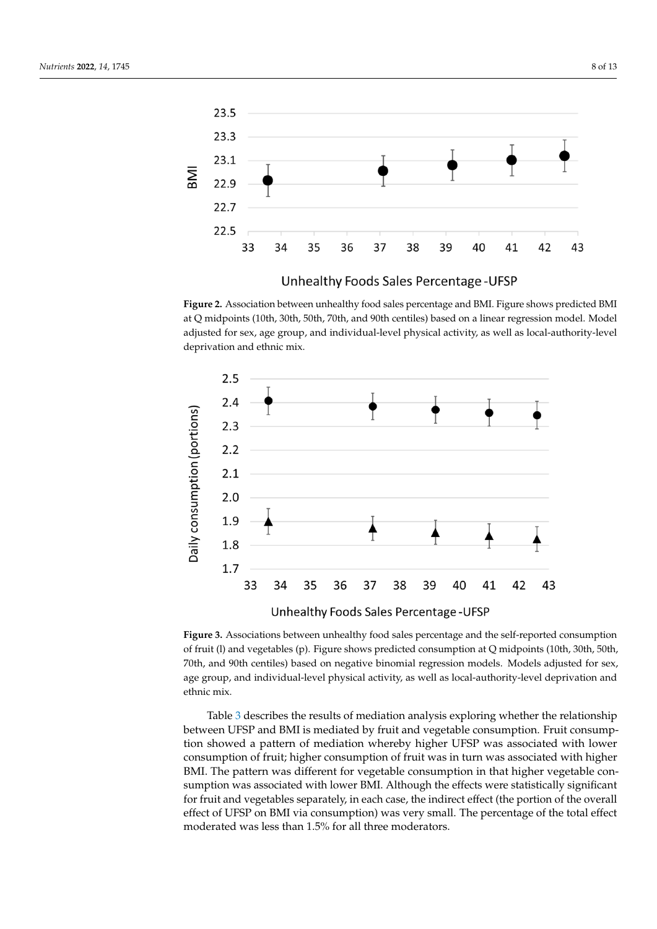<span id="page-7-0"></span>

level deprivation and ethnic mix.

Unhealthy Foods Sales Percentage - UFSP

at Q midpoints (10th, 30th, 50th, 70th, and 90th centiles) based on a linear regression model. Model adjusted for sex, age group, and individual-level physical activity, as well as local-authority-level deprivation and ethnic mix. **Figure 2.** Association between unhealthy food sales percentage and BMI. Figure shows predicted BMI

<span id="page-7-1"></span>

of fruit (l) and vegetables (p). Figure shows predicted consumption at Q midpoints (10th, 30th, 50th, 70th, and 90th centiles) based on negative binomial regression models. Models adjusted for sex, age group, and individual-level physical activity, as well as local-authority-level deprivation and and individual-level physical activity, as well as local-authority-level deprivation and  $g_{\text{intra}}$  and  $g_{\text{intra}}$ **Figure 3.** Associations between unhealthy food sales percentage and the self-reported consumption ethnic mix.

Table [3](#page-8-0) describes the results of mediation analysis exploring whether the relationship consumption of fruit; higher consumption of fruit was in turn was associated with higher BMI. The pattern was different for vegetable consumption in that higher vegetable con-<br> $BML$  and  $BML$  and  $C$  is the pattern in that higher vegetable confor fruit and vegetables separately, in each case, the indirect effect (the portion of the overall effect of UFSP on BMI via consumption) was very small. The percentage of the total effect moderated was less than 1.5% for all three moderators. between UFSP and BMI is mediated by fruit and vegetable consumption. Fruit consumption showed a pattern of mediation whereby higher UFSP was associated with lower sumption was associated with lower BMI. Although the effects were statistically significant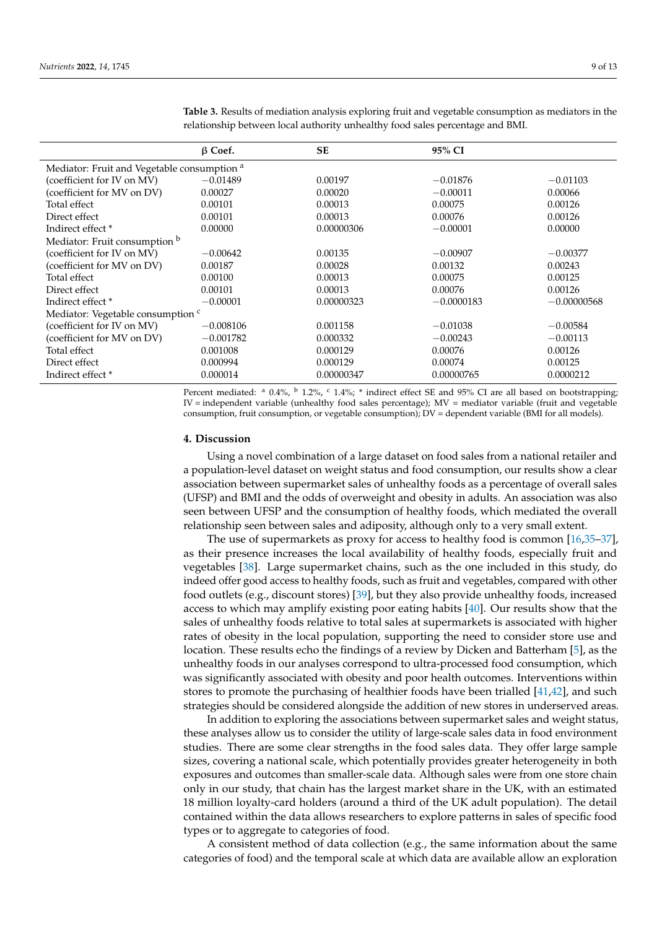|                                                        | $\beta$ Coef. | <b>SE</b>  | 95% CI       |               |  |  |  |  |  |
|--------------------------------------------------------|---------------|------------|--------------|---------------|--|--|--|--|--|
| Mediator: Fruit and Vegetable consumption <sup>a</sup> |               |            |              |               |  |  |  |  |  |
| (coefficient for IV on MV)                             | $-0.01489$    | 0.00197    | $-0.01876$   | $-0.01103$    |  |  |  |  |  |
| (coefficient for MV on DV)                             | 0.00027       | 0.00020    | $-0.00011$   | 0.00066       |  |  |  |  |  |
| Total effect                                           | 0.00101       | 0.00013    | 0.00075      | 0.00126       |  |  |  |  |  |
| Direct effect                                          | 0.00101       | 0.00013    | 0.00076      | 0.00126       |  |  |  |  |  |
| Indirect effect <sup>*</sup>                           | 0.00000       | 0.00000306 | $-0.00001$   | 0.00000       |  |  |  |  |  |
| Mediator: Fruit consumption b                          |               |            |              |               |  |  |  |  |  |
| (coefficient for IV on MV)                             | $-0.00642$    | 0.00135    | $-0.00907$   | $-0.00377$    |  |  |  |  |  |
| (coefficient for MV on DV)                             | 0.00187       | 0.00028    | 0.00132      | 0.00243       |  |  |  |  |  |
| Total effect                                           | 0.00100       | 0.00013    | 0.00075      | 0.00125       |  |  |  |  |  |
| Direct effect                                          | 0.00101       | 0.00013    | 0.00076      | 0.00126       |  |  |  |  |  |
| Indirect effect <sup>*</sup>                           | $-0.00001$    | 0.00000323 | $-0.0000183$ | $-0.00000568$ |  |  |  |  |  |
| Mediator: Vegetable consumption c                      |               |            |              |               |  |  |  |  |  |
| (coefficient for IV on MV)                             | $-0.008106$   | 0.001158   | $-0.01038$   | $-0.00584$    |  |  |  |  |  |
| (coefficient for MV on DV)                             | $-0.001782$   | 0.000332   | $-0.00243$   | $-0.00113$    |  |  |  |  |  |
| Total effect                                           | 0.001008      | 0.000129   | 0.00076      | 0.00126       |  |  |  |  |  |
| Direct effect                                          | 0.000994      | 0.000129   | 0.00074      | 0.00125       |  |  |  |  |  |
| Indirect effect <sup>*</sup>                           | 0.000014      | 0.00000347 | 0.00000765   | 0.0000212     |  |  |  |  |  |

<span id="page-8-0"></span>**Table 3.** Results of mediation analysis exploring fruit and vegetable consumption as mediators in the relationship between local authority unhealthy food sales percentage and BMI.

Percent mediated:  $a$  0.4%,  $b$  1.2%,  $c$  1.4%;  $*$  indirect effect SE and 95% CI are all based on bootstrapping; IV = independent variable (unhealthy food sales percentage); MV = mediator variable (fruit and vegetable consumption, fruit consumption, or vegetable consumption); DV = dependent variable (BMI for all models).

#### **4. Discussion**

Using a novel combination of a large dataset on food sales from a national retailer and a population-level dataset on weight status and food consumption, our results show a clear association between supermarket sales of unhealthy foods as a percentage of overall sales (UFSP) and BMI and the odds of overweight and obesity in adults. An association was also seen between UFSP and the consumption of healthy foods, which mediated the overall relationship seen between sales and adiposity, although only to a very small extent.

The use of supermarkets as proxy for access to healthy food is common [\[16,](#page-11-10)[35–](#page-12-8)[37\]](#page-12-9), as their presence increases the local availability of healthy foods, especially fruit and vegetables [\[38\]](#page-12-10). Large supermarket chains, such as the one included in this study, do indeed offer good access to healthy foods, such as fruit and vegetables, compared with other food outlets (e.g., discount stores) [\[39\]](#page-12-11), but they also provide unhealthy foods, increased access to which may amplify existing poor eating habits [\[40\]](#page-12-12). Our results show that the sales of unhealthy foods relative to total sales at supermarkets is associated with higher rates of obesity in the local population, supporting the need to consider store use and location. These results echo the findings of a review by Dicken and Batterham [\[5\]](#page-11-4), as the unhealthy foods in our analyses correspond to ultra-processed food consumption, which was significantly associated with obesity and poor health outcomes. Interventions within stores to promote the purchasing of healthier foods have been trialled [\[41,](#page-12-13)[42\]](#page-12-14), and such strategies should be considered alongside the addition of new stores in underserved areas.

In addition to exploring the associations between supermarket sales and weight status, these analyses allow us to consider the utility of large-scale sales data in food environment studies. There are some clear strengths in the food sales data. They offer large sample sizes, covering a national scale, which potentially provides greater heterogeneity in both exposures and outcomes than smaller-scale data. Although sales were from one store chain only in our study, that chain has the largest market share in the UK, with an estimated 18 million loyalty-card holders (around a third of the UK adult population). The detail contained within the data allows researchers to explore patterns in sales of specific food types or to aggregate to categories of food.

A consistent method of data collection (e.g., the same information about the same categories of food) and the temporal scale at which data are available allow an exploration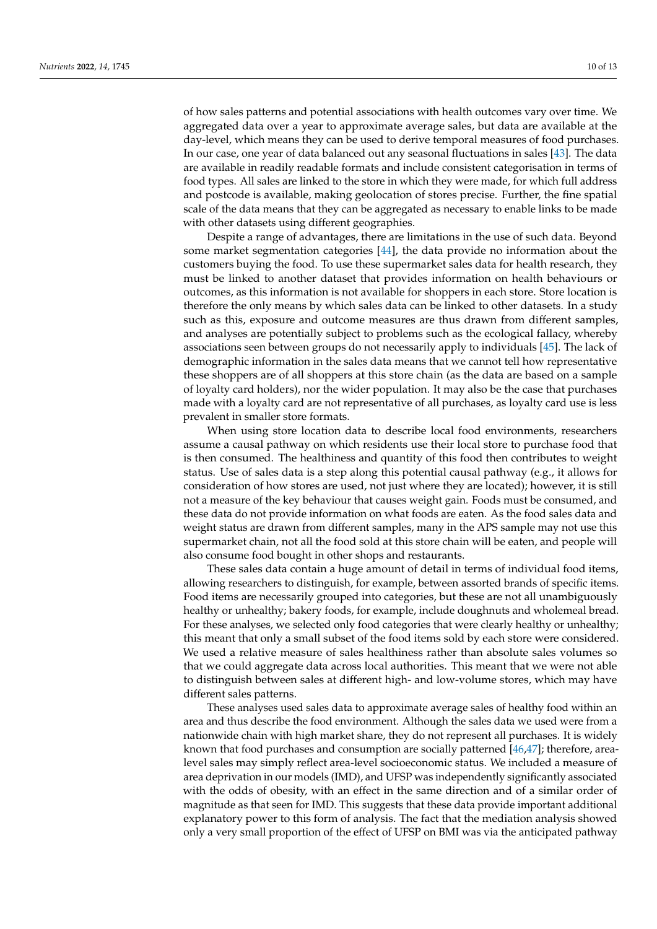of how sales patterns and potential associations with health outcomes vary over time. We aggregated data over a year to approximate average sales, but data are available at the day-level, which means they can be used to derive temporal measures of food purchases. In our case, one year of data balanced out any seasonal fluctuations in sales [\[43\]](#page-12-15). The data are available in readily readable formats and include consistent categorisation in terms of food types. All sales are linked to the store in which they were made, for which full address and postcode is available, making geolocation of stores precise. Further, the fine spatial

with other datasets using different geographies. Despite a range of advantages, there are limitations in the use of such data. Beyond some market segmentation categories [\[44\]](#page-12-16), the data provide no information about the customers buying the food. To use these supermarket sales data for health research, they must be linked to another dataset that provides information on health behaviours or outcomes, as this information is not available for shoppers in each store. Store location is therefore the only means by which sales data can be linked to other datasets. In a study such as this, exposure and outcome measures are thus drawn from different samples, and analyses are potentially subject to problems such as the ecological fallacy, whereby associations seen between groups do not necessarily apply to individuals [\[45\]](#page-12-17). The lack of demographic information in the sales data means that we cannot tell how representative these shoppers are of all shoppers at this store chain (as the data are based on a sample of loyalty card holders), nor the wider population. It may also be the case that purchases made with a loyalty card are not representative of all purchases, as loyalty card use is less prevalent in smaller store formats.

scale of the data means that they can be aggregated as necessary to enable links to be made

When using store location data to describe local food environments, researchers assume a causal pathway on which residents use their local store to purchase food that is then consumed. The healthiness and quantity of this food then contributes to weight status. Use of sales data is a step along this potential causal pathway (e.g., it allows for consideration of how stores are used, not just where they are located); however, it is still not a measure of the key behaviour that causes weight gain. Foods must be consumed, and these data do not provide information on what foods are eaten. As the food sales data and weight status are drawn from different samples, many in the APS sample may not use this supermarket chain, not all the food sold at this store chain will be eaten, and people will also consume food bought in other shops and restaurants.

These sales data contain a huge amount of detail in terms of individual food items, allowing researchers to distinguish, for example, between assorted brands of specific items. Food items are necessarily grouped into categories, but these are not all unambiguously healthy or unhealthy; bakery foods, for example, include doughnuts and wholemeal bread. For these analyses, we selected only food categories that were clearly healthy or unhealthy; this meant that only a small subset of the food items sold by each store were considered. We used a relative measure of sales healthiness rather than absolute sales volumes so that we could aggregate data across local authorities. This meant that we were not able to distinguish between sales at different high- and low-volume stores, which may have different sales patterns.

These analyses used sales data to approximate average sales of healthy food within an area and thus describe the food environment. Although the sales data we used were from a nationwide chain with high market share, they do not represent all purchases. It is widely known that food purchases and consumption are socially patterned [\[46](#page-12-18)[,47\]](#page-12-19); therefore, arealevel sales may simply reflect area-level socioeconomic status. We included a measure of area deprivation in our models (IMD), and UFSP was independently significantly associated with the odds of obesity, with an effect in the same direction and of a similar order of magnitude as that seen for IMD. This suggests that these data provide important additional explanatory power to this form of analysis. The fact that the mediation analysis showed only a very small proportion of the effect of UFSP on BMI was via the anticipated pathway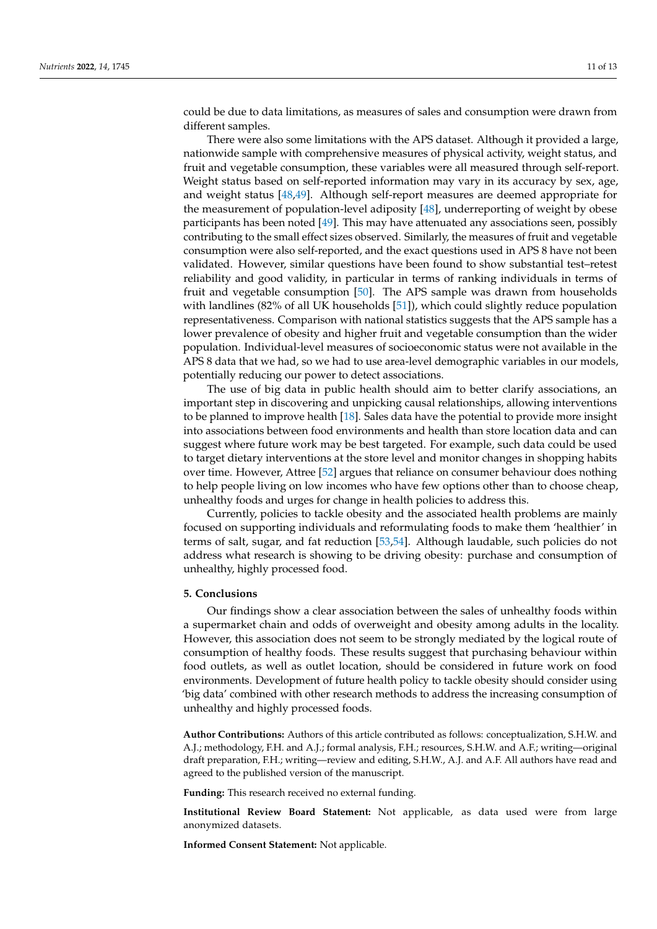could be due to data limitations, as measures of sales and consumption were drawn from different samples.

There were also some limitations with the APS dataset. Although it provided a large, nationwide sample with comprehensive measures of physical activity, weight status, and fruit and vegetable consumption, these variables were all measured through self-report. Weight status based on self-reported information may vary in its accuracy by sex, age, and weight status [\[48](#page-12-20)[,49\]](#page-12-21). Although self-report measures are deemed appropriate for the measurement of population-level adiposity [\[48\]](#page-12-20), underreporting of weight by obese participants has been noted [\[49\]](#page-12-21). This may have attenuated any associations seen, possibly contributing to the small effect sizes observed. Similarly, the measures of fruit and vegetable consumption were also self-reported, and the exact questions used in APS 8 have not been validated. However, similar questions have been found to show substantial test–retest reliability and good validity, in particular in terms of ranking individuals in terms of fruit and vegetable consumption [\[50\]](#page-12-22). The APS sample was drawn from households with landlines (82% of all UK households [\[51\]](#page-12-23)), which could slightly reduce population representativeness. Comparison with national statistics suggests that the APS sample has a lower prevalence of obesity and higher fruit and vegetable consumption than the wider population. Individual-level measures of socioeconomic status were not available in the APS 8 data that we had, so we had to use area-level demographic variables in our models, potentially reducing our power to detect associations.

The use of big data in public health should aim to better clarify associations, an important step in discovering and unpicking causal relationships, allowing interventions to be planned to improve health [\[18\]](#page-11-12). Sales data have the potential to provide more insight into associations between food environments and health than store location data and can suggest where future work may be best targeted. For example, such data could be used to target dietary interventions at the store level and monitor changes in shopping habits over time. However, Attree [\[52\]](#page-12-24) argues that reliance on consumer behaviour does nothing to help people living on low incomes who have few options other than to choose cheap, unhealthy foods and urges for change in health policies to address this.

Currently, policies to tackle obesity and the associated health problems are mainly focused on supporting individuals and reformulating foods to make them 'healthier' in terms of salt, sugar, and fat reduction [\[53](#page-12-25)[,54\]](#page-12-26). Although laudable, such policies do not address what research is showing to be driving obesity: purchase and consumption of unhealthy, highly processed food.

### **5. Conclusions**

Our findings show a clear association between the sales of unhealthy foods within a supermarket chain and odds of overweight and obesity among adults in the locality. However, this association does not seem to be strongly mediated by the logical route of consumption of healthy foods. These results suggest that purchasing behaviour within food outlets, as well as outlet location, should be considered in future work on food environments. Development of future health policy to tackle obesity should consider using 'big data' combined with other research methods to address the increasing consumption of unhealthy and highly processed foods.

**Author Contributions:** Authors of this article contributed as follows: conceptualization, S.H.W. and A.J.; methodology, F.H. and A.J.; formal analysis, F.H.; resources, S.H.W. and A.F.; writing—original draft preparation, F.H.; writing—review and editing, S.H.W., A.J. and A.F. All authors have read and agreed to the published version of the manuscript.

**Funding:** This research received no external funding.

**Institutional Review Board Statement:** Not applicable, as data used were from large anonymized datasets.

**Informed Consent Statement:** Not applicable.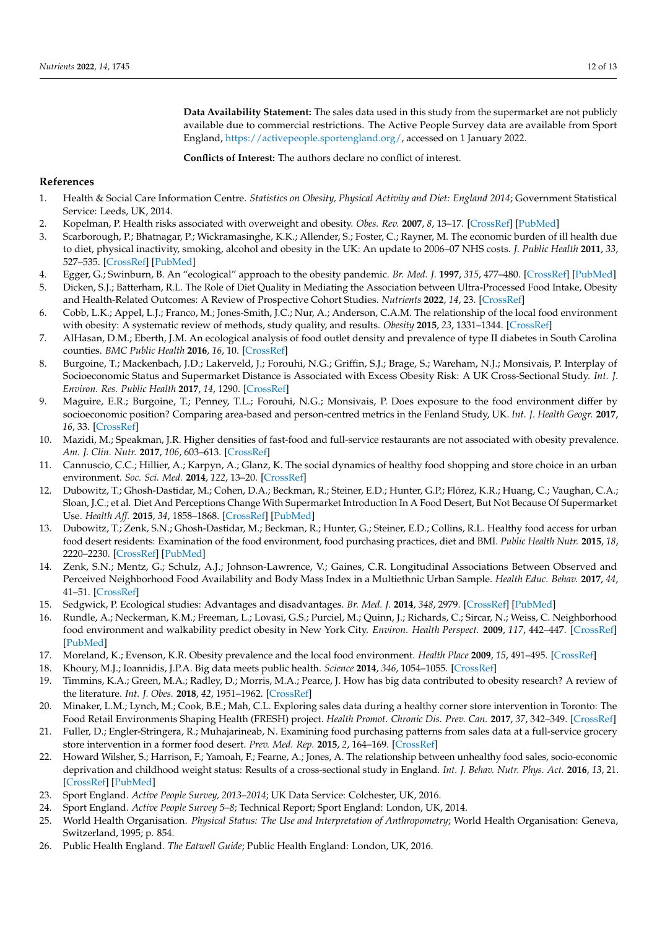**Data Availability Statement:** The sales data used in this study from the supermarket are not publicly available due to commercial restrictions. The Active People Survey data are available from Sport England, [https://activepeople.sportengland.org/,](https://activepeople.sportengland.org/) accessed on 1 January 2022.

**Conflicts of Interest:** The authors declare no conflict of interest.

## **References**

- <span id="page-11-0"></span>1. Health & Social Care Information Centre. *Statistics on Obesity, Physical Activity and Diet: England 2014*; Government Statistical Service: Leeds, UK, 2014.
- <span id="page-11-1"></span>2. Kopelman, P. Health risks associated with overweight and obesity. *Obes. Rev.* **2007**, *8*, 13–17. [\[CrossRef\]](http://doi.org/10.1111/j.1467-789X.2007.00311.x) [\[PubMed\]](http://www.ncbi.nlm.nih.gov/pubmed/17316295)
- <span id="page-11-2"></span>3. Scarborough, P.; Bhatnagar, P.; Wickramasinghe, K.K.; Allender, S.; Foster, C.; Rayner, M. The economic burden of ill health due to diet, physical inactivity, smoking, alcohol and obesity in the UK: An update to 2006–07 NHS costs. *J. Public Health* **2011**, *33*, 527–535. [\[CrossRef\]](http://doi.org/10.1093/pubmed/fdr033) [\[PubMed\]](http://www.ncbi.nlm.nih.gov/pubmed/21562029)
- <span id="page-11-3"></span>4. Egger, G.; Swinburn, B. An "ecological" approach to the obesity pandemic. *Br. Med. J.* **1997**, *315*, 477–480. [\[CrossRef\]](http://doi.org/10.1136/bmj.315.7106.477) [\[PubMed\]](http://www.ncbi.nlm.nih.gov/pubmed/9284671)
- <span id="page-11-4"></span>5. Dicken, S.J.; Batterham, R.L. The Role of Diet Quality in Mediating the Association between Ultra-Processed Food Intake, Obesity and Health-Related Outcomes: A Review of Prospective Cohort Studies. *Nutrients* **2022**, *14*, 23. [\[CrossRef\]](http://doi.org/10.3390/nu14010023)
- <span id="page-11-5"></span>6. Cobb, L.K.; Appel, L.J.; Franco, M.; Jones-Smith, J.C.; Nur, A.; Anderson, C.A.M. The relationship of the local food environment with obesity: A systematic review of methods, study quality, and results. *Obesity* **2015**, *23*, 1331–1344. [\[CrossRef\]](http://doi.org/10.1002/oby.21118)
- 7. AlHasan, D.M.; Eberth, J.M. An ecological analysis of food outlet density and prevalence of type II diabetes in South Carolina counties. *BMC Public Health* **2016**, *16*, 10. [\[CrossRef\]](http://doi.org/10.1186/s12889-015-2681-6)
- 8. Burgoine, T.; Mackenbach, J.D.; Lakerveld, J.; Forouhi, N.G.; Griffin, S.J.; Brage, S.; Wareham, N.J.; Monsivais, P. Interplay of Socioeconomic Status and Supermarket Distance is Associated with Excess Obesity Risk: A UK Cross-Sectional Study. *Int. J. Environ. Res. Public Health* **2017**, *14*, 1290. [\[CrossRef\]](http://doi.org/10.3390/ijerph14111290)
- 9. Maguire, E.R.; Burgoine, T.; Penney, T.L.; Forouhi, N.G.; Monsivais, P. Does exposure to the food environment differ by socioeconomic position? Comparing area-based and person-centred metrics in the Fenland Study, UK. *Int. J. Health Geogr.* **2017**, *16*, 33. [\[CrossRef\]](http://doi.org/10.1186/s12942-017-0106-8)
- <span id="page-11-6"></span>10. Mazidi, M.; Speakman, J.R. Higher densities of fast-food and full-service restaurants are not associated with obesity prevalence. *Am. J. Clin. Nutr.* **2017**, *106*, 603–613. [\[CrossRef\]](http://doi.org/10.3945/ajcn.116.151407)
- <span id="page-11-7"></span>11. Cannuscio, C.C.; Hillier, A.; Karpyn, A.; Glanz, K. The social dynamics of healthy food shopping and store choice in an urban environment. *Soc. Sci. Med.* **2014**, *122*, 13–20. [\[CrossRef\]](http://doi.org/10.1016/j.socscimed.2014.10.005)
- 12. Dubowitz, T.; Ghosh-Dastidar, M.; Cohen, D.A.; Beckman, R.; Steiner, E.D.; Hunter, G.P.; Flórez, K.R.; Huang, C.; Vaughan, C.A.; Sloan, J.C.; et al. Diet And Perceptions Change With Supermarket Introduction In A Food Desert, But Not Because Of Supermarket Use. *Health Aff.* **2015**, *34*, 1858–1868. [\[CrossRef\]](http://doi.org/10.1377/hlthaff.2015.0667) [\[PubMed\]](http://www.ncbi.nlm.nih.gov/pubmed/26526243)
- 13. Dubowitz, T.; Zenk, S.N.; Ghosh-Dastidar, M.; Beckman, R.; Hunter, G.; Steiner, E.D.; Collins, R.L. Healthy food access for urban food desert residents: Examination of the food environment, food purchasing practices, diet and BMI. *Public Health Nutr.* **2015**, *18*, 2220–2230. [\[CrossRef\]](http://doi.org/10.1017/S1368980014002742) [\[PubMed\]](http://www.ncbi.nlm.nih.gov/pubmed/25475559)
- <span id="page-11-8"></span>14. Zenk, S.N.; Mentz, G.; Schulz, A.J.; Johnson-Lawrence, V.; Gaines, C.R. Longitudinal Associations Between Observed and Perceived Neighborhood Food Availability and Body Mass Index in a Multiethnic Urban Sample. *Health Educ. Behav.* **2017**, *44*, 41–51. [\[CrossRef\]](http://doi.org/10.1177/1090198116644150)
- <span id="page-11-9"></span>15. Sedgwick, P. Ecological studies: Advantages and disadvantages. *Br. Med. J.* **2014**, *348*, 2979. [\[CrossRef\]](http://doi.org/10.1136/bmj.g2979) [\[PubMed\]](http://www.ncbi.nlm.nih.gov/pubmed/25134102)
- <span id="page-11-10"></span>16. Rundle, A.; Neckerman, K.M.; Freeman, L.; Lovasi, G.S.; Purciel, M.; Quinn, J.; Richards, C.; Sircar, N.; Weiss, C. Neighborhood food environment and walkability predict obesity in New York City. *Environ. Health Perspect.* **2009**, *117*, 442–447. [\[CrossRef\]](http://doi.org/10.1289/ehp.11590) [\[PubMed\]](http://www.ncbi.nlm.nih.gov/pubmed/19337520)
- <span id="page-11-11"></span>17. Moreland, K.; Evenson, K.R. Obesity prevalence and the local food environment. *Health Place* **2009**, *15*, 491–495. [\[CrossRef\]](http://doi.org/10.1016/j.healthplace.2008.09.004)
- <span id="page-11-12"></span>18. Khoury, M.J.; Ioannidis, J.P.A. Big data meets public health. *Science* **2014**, *346*, 1054–1055. [\[CrossRef\]](http://doi.org/10.1126/science.aaa2709)
- <span id="page-11-13"></span>19. Timmins, K.A.; Green, M.A.; Radley, D.; Morris, M.A.; Pearce, J. How has big data contributed to obesity research? A review of the literature. *Int. J. Obes.* **2018**, *42*, 1951–1962. [\[CrossRef\]](http://doi.org/10.1038/s41366-018-0153-7)
- <span id="page-11-14"></span>20. Minaker, L.M.; Lynch, M.; Cook, B.E.; Mah, C.L. Exploring sales data during a healthy corner store intervention in Toronto: The Food Retail Environments Shaping Health (FRESH) project. *Health Promot. Chronic Dis. Prev. Can.* **2017**, *37*, 342–349. [\[CrossRef\]](http://doi.org/10.24095/hpcdp.37.10.04)
- <span id="page-11-15"></span>21. Fuller, D.; Engler-Stringera, R.; Muhajarineab, N. Examining food purchasing patterns from sales data at a full-service grocery store intervention in a former food desert. *Prev. Med. Rep.* **2015**, *2*, 164–169. [\[CrossRef\]](http://doi.org/10.1016/j.pmedr.2015.02.012)
- <span id="page-11-16"></span>22. Howard Wilsher, S.; Harrison, F.; Yamoah, F.; Fearne, A.; Jones, A. The relationship between unhealthy food sales, socio-economic deprivation and childhood weight status: Results of a cross-sectional study in England. *Int. J. Behav. Nutr. Phys. Act.* **2016**, *13*, 21. [\[CrossRef\]](http://doi.org/10.1186/s12966-016-0345-2) [\[PubMed\]](http://www.ncbi.nlm.nih.gov/pubmed/26876236)
- <span id="page-11-17"></span>23. Sport England. *Active People Survey, 2013–2014*; UK Data Service: Colchester, UK, 2016.
- <span id="page-11-18"></span>24. Sport England. *Active People Survey 5–8*; Technical Report; Sport England: London, UK, 2014.
- <span id="page-11-19"></span>25. World Health Organisation. *Physical Status: The Use and Interpretation of Anthropometry*; World Health Organisation: Geneva, Switzerland, 1995; p. 854.
- <span id="page-11-20"></span>26. Public Health England. *The Eatwell Guide*; Public Health England: London, UK, 2016.